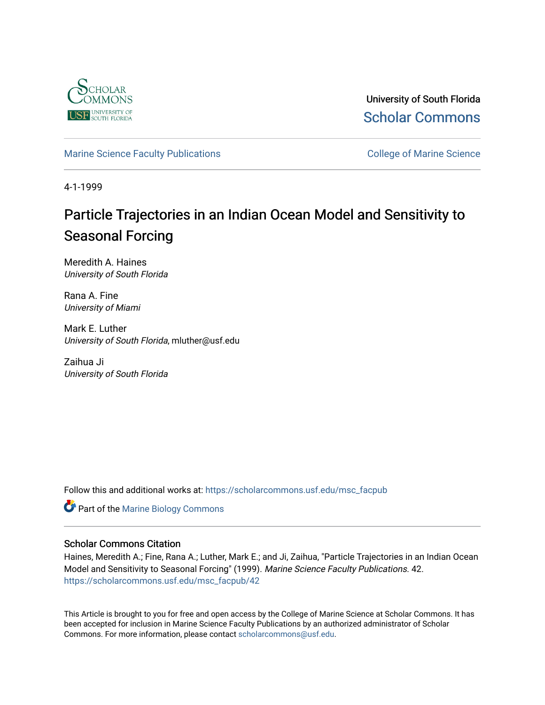

University of South Florida [Scholar Commons](https://scholarcommons.usf.edu/) 

# [Marine Science Faculty Publications](https://scholarcommons.usf.edu/msc_facpub) **College of Marine Science** College of Marine Science

4-1-1999

# Particle Trajectories in an Indian Ocean Model and Sensitivity to Seasonal Forcing

Meredith A. Haines University of South Florida

Rana A. Fine University of Miami

Mark E. Luther University of South Florida, mluther@usf.edu

Zaihua Ji University of South Florida

Follow this and additional works at: [https://scholarcommons.usf.edu/msc\\_facpub](https://scholarcommons.usf.edu/msc_facpub?utm_source=scholarcommons.usf.edu%2Fmsc_facpub%2F42&utm_medium=PDF&utm_campaign=PDFCoverPages)

Part of the [Marine Biology Commons](http://network.bepress.com/hgg/discipline/1126?utm_source=scholarcommons.usf.edu%2Fmsc_facpub%2F42&utm_medium=PDF&utm_campaign=PDFCoverPages) 

## Scholar Commons Citation

Haines, Meredith A.; Fine, Rana A.; Luther, Mark E.; and Ji, Zaihua, "Particle Trajectories in an Indian Ocean Model and Sensitivity to Seasonal Forcing" (1999). Marine Science Faculty Publications. 42. [https://scholarcommons.usf.edu/msc\\_facpub/42](https://scholarcommons.usf.edu/msc_facpub/42?utm_source=scholarcommons.usf.edu%2Fmsc_facpub%2F42&utm_medium=PDF&utm_campaign=PDFCoverPages) 

This Article is brought to you for free and open access by the College of Marine Science at Scholar Commons. It has been accepted for inclusion in Marine Science Faculty Publications by an authorized administrator of Scholar Commons. For more information, please contact [scholarcommons@usf.edu.](mailto:scholarcommons@usf.edu)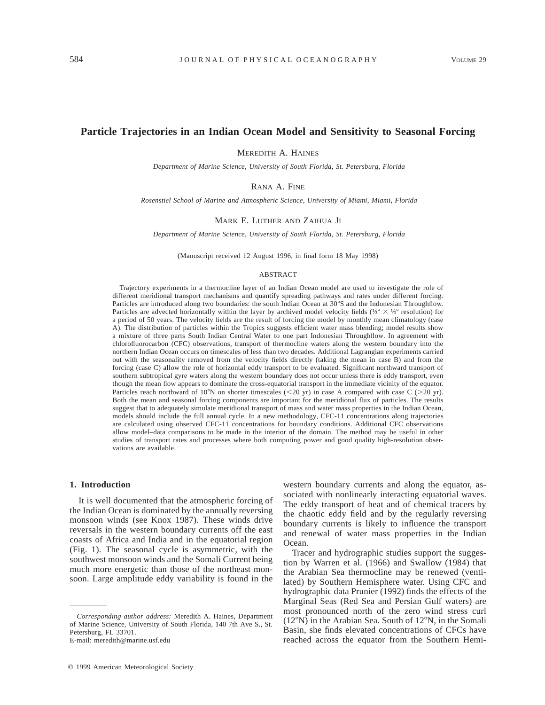## **Particle Trajectories in an Indian Ocean Model and Sensitivity to Seasonal Forcing**

MEREDITH A. HAINES

*Department of Marine Science, University of South Florida, St. Petersburg, Florida*

RANA A. FINE

*Rosenstiel School of Marine and Atmospheric Science, University of Miami, Miami, Florida*

MARK E. LUTHER AND ZAIHUA JI

*Department of Marine Science, University of South Florida, St. Petersburg, Florida*

(Manuscript received 12 August 1996, in final form 18 May 1998)

#### ABSTRACT

Trajectory experiments in a thermocline layer of an Indian Ocean model are used to investigate the role of different meridional transport mechanisms and quantify spreading pathways and rates under different forcing. Particles are introduced along two boundaries: the south Indian Ocean at 30°S and the Indonesian Throughflow. Particles are advected horizontally within the layer by archived model velocity fields (⅓8  $\times$  ⅓8 resolution) for a period of 50 years. The velocity fields are the result of forcing the model by monthly mean climatology (case A). The distribution of particles within the Tropics suggests efficient water mass blending; model results show a mixture of three parts South Indian Central Water to one part Indonesian Throughflow. In agreement with chlorofluorocarbon (CFC) observations, transport of thermocline waters along the western boundary into the northern Indian Ocean occurs on timescales of less than two decades. Additional Lagrangian experiments carried out with the seasonality removed from the velocity fields directly (taking the mean in case B) and from the forcing (case C) allow the role of horizontal eddy transport to be evaluated. Significant northward transport of southern subtropical gyre waters along the western boundary does not occur unless there is eddy transport, even though the mean flow appears to dominate the cross-equatorial transport in the immediate vicinity of the equator. Particles reach northward of 10°N on shorter timescales (<20 yr) in case A compared with case C (>20 yr). Both the mean and seasonal forcing components are important for the meridional flux of particles. The results suggest that to adequately simulate meridional transport of mass and water mass properties in the Indian Ocean, models should include the full annual cycle. In a new methodology, CFC-11 concentrations along trajectories are calculated using observed CFC-11 concentrations for boundary conditions. Additional CFC observations allow model–data comparisons to be made in the interior of the domain. The method may be useful in other studies of transport rates and processes where both computing power and good quality high-resolution observations are available.

#### **1. Introduction**

It is well documented that the atmospheric forcing of the Indian Ocean is dominated by the annually reversing monsoon winds (see Knox 1987). These winds drive reversals in the western boundary currents off the east coasts of Africa and India and in the equatorial region (Fig. 1). The seasonal cycle is asymmetric, with the southwest monsoon winds and the Somali Current being much more energetic than those of the northeast monsoon. Large amplitude eddy variability is found in the

E-mail: meredith@marine.usf.edu

western boundary currents and along the equator, associated with nonlinearly interacting equatorial waves. The eddy transport of heat and of chemical tracers by the chaotic eddy field and by the regularly reversing boundary currents is likely to influence the transport and renewal of water mass properties in the Indian Ocean.

Tracer and hydrographic studies support the suggestion by Warren et al. (1966) and Swallow (1984) that the Arabian Sea thermocline may be renewed (ventilated) by Southern Hemisphere water. Using CFC and hydrographic data Prunier (1992) finds the effects of the Marginal Seas (Red Sea and Persian Gulf waters) are most pronounced north of the zero wind stress curl  $(12°N)$  in the Arabian Sea. South of  $12°N$ , in the Somali Basin, she finds elevated concentrations of CFCs have reached across the equator from the Southern Hemi-

*Corresponding author address:* Meredith A. Haines, Department of Marine Science, University of South Florida, 140 7th Ave S., St. Petersburg, FL 33701.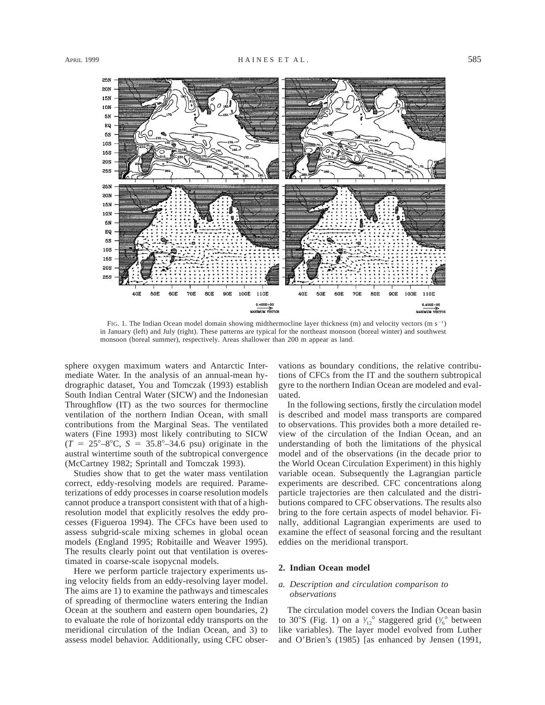

FIG. 1. The Indian Ocean model domain showing midthermocline layer thickness (m) and velocity vectors (m  $s^{-1}$ ) in January (left) and July (right). These patterns are typical for the northeast monsoon (boreal winter) and southwest monsoon (boreal summer), respectively. Areas shallower than 200 m appear as land.

sphere oxygen maximum waters and Antarctic Intermediate Water. In the analysis of an annual-mean hydrographic dataset, You and Tomczak (1993) establish South Indian Central Water (SICW) and the Indonesian Throughflow (IT) as the two sources for thermocline ventilation of the northern Indian Ocean, with small contributions from the Marginal Seas. The ventilated waters (Fine 1993) most likely contributing to SICW  $(T = 25^{\circ} - 8^{\circ}C, S = 35.8^{\circ} - 34.6$  psu) originate in the austral wintertime south of the subtropical convergence (McCartney 1982; Sprintall and Tomczak 1993).

Studies show that to get the water mass ventilation correct, eddy-resolving models are required. Parameterizations of eddy processes in coarse resolution models cannot produce a transport consistent with that of a highresolution model that explicitly resolves the eddy processes (Figueroa 1994). The CFCs have been used to assess subgrid-scale mixing schemes in global ocean models (England 1995; Robitaille and Weaver 1995). The results clearly point out that ventilation is overestimated in coarse-scale isopycnal models.

Here we perform particle trajectory experiments using velocity fields from an eddy-resolving layer model. The aims are 1) to examine the pathways and timescales of spreading of thermocline waters entering the Indian Ocean at the southern and eastern open boundaries, 2) to evaluate the role of horizontal eddy transports on the meridional circulation of the Indian Ocean, and 3) to assess model behavior. Additionally, using CFC observations as boundary conditions, the relative contributions of CFCs from the IT and the southern subtropical gyre to the northern Indian Ocean are modeled and evaluated.

In the following sections, firstly the circulation model is described and model mass transports are compared to observations. This provides both a more detailed review of the circulation of the Indian Ocean, and an understanding of both the limitations of the physical model and of the observations (in the decade prior to the World Ocean Circulation Experiment) in this highly variable ocean. Subsequently the Lagrangian particle experiments are described. CFC concentrations along particle trajectories are then calculated and the distributions compared to CFC observations. The results also bring to the fore certain aspects of model behavior. Finally, additional Lagrangian experiments are used to examine the effect of seasonal forcing and the resultant eddies on the meridional transport.

## **2. Indian Ocean model**

### *a. Description and circulation comparison to observations*

The circulation model covers the Indian Ocean basin to 30°S (Fig. 1) on a  $\frac{1}{12}$ ° staggered grid ( $\frac{1}{6}$ ° between **∕** ⁄ like variables). The layer model evolved from Luther and O'Brien's (1985) [as enhanced by Jensen (1991,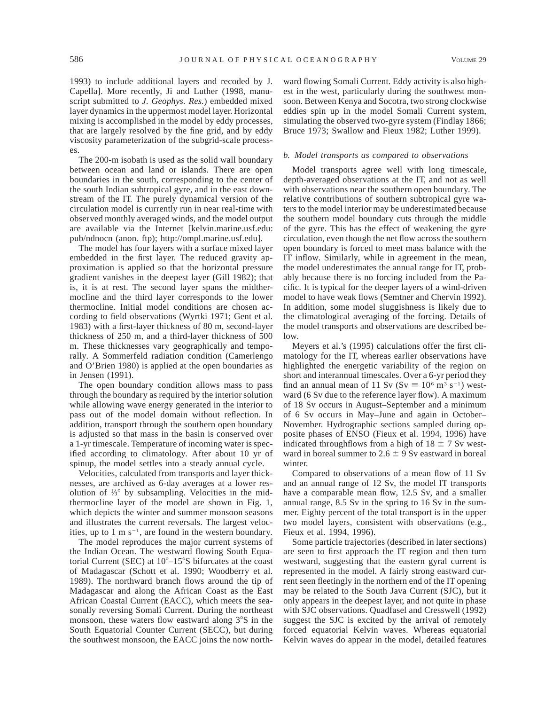1993) to include additional layers and recoded by J. Capella]. More recently, Ji and Luther (1998, manuscript submitted to *J. Geophys. Res.*) embedded mixed layer dynamics in the uppermost model layer. Horizontal mixing is accomplished in the model by eddy processes, that are largely resolved by the fine grid, and by eddy viscosity parameterization of the subgrid-scale processes.

The 200-m isobath is used as the solid wall boundary between ocean and land or islands. There are open boundaries in the south, corresponding to the center of the south Indian subtropical gyre, and in the east downstream of the IT. The purely dynamical version of the circulation model is currently run in near real-time with observed monthly averaged winds, and the model output are available via the Internet [kelvin.marine.usf.edu: pub/ndnocn (anon. ftp); http://ompl.marine.usf.edu].

The model has four layers with a surface mixed layer embedded in the first layer. The reduced gravity approximation is applied so that the horizontal pressure gradient vanishes in the deepest layer (Gill 1982); that is, it is at rest. The second layer spans the midthermocline and the third layer corresponds to the lower thermocline. Initial model conditions are chosen according to field observations (Wyrtki 1971; Gent et al. 1983) with a first-layer thickness of 80 m, second-layer thickness of 250 m, and a third-layer thickness of 500 m. These thicknesses vary geographically and temporally. A Sommerfeld radiation condition (Camerlengo and O'Brien 1980) is applied at the open boundaries as in Jensen (1991).

The open boundary condition allows mass to pass through the boundary as required by the interior solution while allowing wave energy generated in the interior to pass out of the model domain without reflection. In addition, transport through the southern open boundary is adjusted so that mass in the basin is conserved over a 1-yr timescale. Temperature of incoming water is specified according to climatology. After about 10 yr of spinup, the model settles into a steady annual cycle.

Velocities, calculated from transports and layer thicknesses, are archived as 6-day averages at a lower resolution of ⅓ $\degree$  by subsampling. Velocities in the midthermocline layer of the model are shown in Fig. 1, which depicts the winter and summer monsoon seasons and illustrates the current reversals. The largest velocities, up to 1 m  $s^{-1}$ , are found in the western boundary.

The model reproduces the major current systems of the Indian Ocean. The westward flowing South Equatorial Current (SEC) at  $10^{\circ}$ –15°S bifurcates at the coast of Madagascar (Schott et al. 1990; Woodberry et al. 1989). The northward branch flows around the tip of Madagascar and along the African Coast as the East African Coastal Current (EACC), which meets the seasonally reversing Somali Current. During the northeast monsoon, these waters flow eastward along  $3^{\circ}S$  in the South Equatorial Counter Current (SECC), but during the southwest monsoon, the EACC joins the now north-

ward flowing Somali Current. Eddy activity is also highest in the west, particularly during the southwest monsoon. Between Kenya and Socotra, two strong clockwise eddies spin up in the model Somali Current system, simulating the observed two-gyre system (Findlay 1866; Bruce 1973; Swallow and Fieux 1982; Luther 1999).

#### *b. Model transports as compared to observations*

Model transports agree well with long timescale, depth-averaged observations at the IT, and not as well with observations near the southern open boundary. The relative contributions of southern subtropical gyre waters to the model interior may be underestimated because the southern model boundary cuts through the middle of the gyre. This has the effect of weakening the gyre circulation, even though the net flow across the southern open boundary is forced to meet mass balance with the IT inflow. Similarly, while in agreement in the mean, the model underestimates the annual range for IT, probably because there is no forcing included from the Pacific. It is typical for the deeper layers of a wind-driven model to have weak flows (Semtner and Chervin 1992). In addition, some model sluggishness is likely due to the climatological averaging of the forcing. Details of the model transports and observations are described below.

Meyers et al.'s (1995) calculations offer the first climatology for the IT, whereas earlier observations have highlighted the energetic variability of the region on short and interannual timescales. Over a 6-yr period they find an annual mean of 11 Sv (Sv  $\equiv 10^6$  m<sup>3</sup> s<sup>-1</sup>) westward (6 Sv due to the reference layer flow). A maximum of 18 Sv occurs in August–September and a minimum of 6 Sv occurs in May–June and again in October– November. Hydrographic sections sampled during opposite phases of ENSO (Fieux et al. 1994, 1996) have indicated throughflows from a high of  $18 \pm 7$  Sv westward in boreal summer to  $2.6 \pm 9$  Sv eastward in boreal winter.

Compared to observations of a mean flow of 11 Sv and an annual range of 12 Sv, the model IT transports have a comparable mean flow, 12.5 Sv, and a smaller annual range, 8.5 Sv in the spring to 16 Sv in the summer. Eighty percent of the total transport is in the upper two model layers, consistent with observations (e.g., Fieux et al. 1994, 1996).

Some particle trajectories (described in later sections) are seen to first approach the IT region and then turn westward, suggesting that the eastern gyral current is represented in the model. A fairly strong eastward current seen fleetingly in the northern end of the IT opening may be related to the South Java Current (SJC), but it only appears in the deepest layer, and not quite in phase with SJC observations. Quadfasel and Cresswell (1992) suggest the SJC is excited by the arrival of remotely forced equatorial Kelvin waves. Whereas equatorial Kelvin waves do appear in the model, detailed features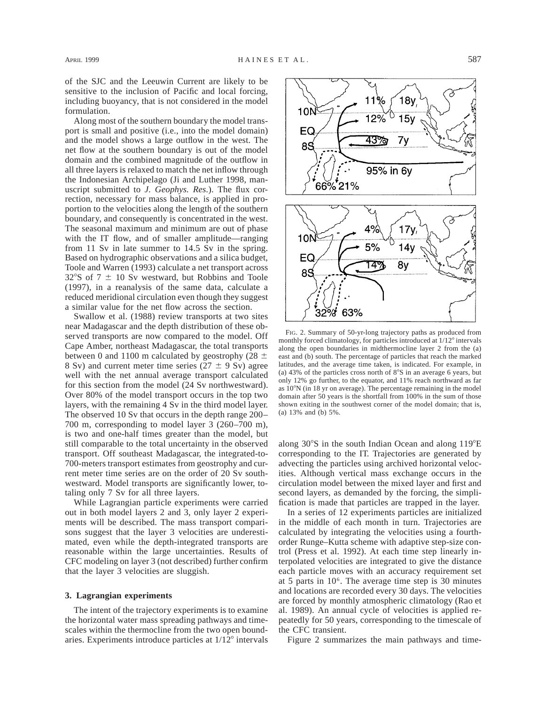of the SJC and the Leeuwin Current are likely to be sensitive to the inclusion of Pacific and local forcing, including buoyancy, that is not considered in the model formulation.

Along most of the southern boundary the model transport is small and positive (i.e., into the model domain) and the model shows a large outflow in the west. The net flow at the southern boundary is out of the model domain and the combined magnitude of the outflow in all three layers is relaxed to match the net inflow through the Indonesian Archipelago (Ji and Luther 1998, manuscript submitted to *J. Geophys. Res.*). The flux correction, necessary for mass balance, is applied in proportion to the velocities along the length of the southern boundary, and consequently is concentrated in the west. The seasonal maximum and minimum are out of phase with the IT flow, and of smaller amplitude—ranging from 11 Sv in late summer to 14.5 Sv in the spring. Based on hydrographic observations and a silica budget, Toole and Warren (1993) calculate a net transport across  $32^{\circ}$ S of 7  $\pm$  10 Sv westward, but Robbins and Toole (1997), in a reanalysis of the same data, calculate a reduced meridional circulation even though they suggest a similar value for the net flow across the section.

Swallow et al. (1988) review transports at two sites near Madagascar and the depth distribution of these observed transports are now compared to the model. Off Cape Amber, northeast Madagascar, the total transports between 0 and 1100 m calculated by geostrophy (28  $\pm$ 8 Sv) and current meter time series ( $27 \pm 9$  Sv) agree well with the net annual average transport calculated for this section from the model (24 Sv northwestward). Over 80% of the model transport occurs in the top two layers, with the remaining 4 Sv in the third model layer. The observed 10 Sv that occurs in the depth range 200– 700 m, corresponding to model layer 3 (260–700 m), is two and one-half times greater than the model, but still comparable to the total uncertainty in the observed transport. Off southeast Madagascar, the integrated-to-700-meters transport estimates from geostrophy and current meter time series are on the order of 20 Sv southwestward. Model transports are significantly lower, totaling only 7 Sv for all three layers.

While Lagrangian particle experiments were carried out in both model layers 2 and 3, only layer 2 experiments will be described. The mass transport comparisons suggest that the layer 3 velocities are underestimated, even while the depth-integrated transports are reasonable within the large uncertainties. Results of CFC modeling on layer 3 (not described) further confirm that the layer 3 velocities are sluggish.

#### **3. Lagrangian experiments**

The intent of the trajectory experiments is to examine the horizontal water mass spreading pathways and timescales within the thermocline from the two open boundaries. Experiments introduce particles at  $1/12^{\circ}$  intervals



FIG. 2. Summary of 50-yr-long trajectory paths as produced from monthly forced climatology, for particles introduced at  $1/12^{\circ}$  intervals along the open boundaries in midthermocline layer 2 from the (a) east and (b) south. The percentage of particles that reach the marked latitudes, and the average time taken, is indicated. For example, in (a) 43% of the particles cross north of  $8^{\circ}S$  in an average 6 years, but only 12% go further, to the equator, and 11% reach northward as far as  $10^{\circ}$ N (in 18 yr on average). The percentage remaining in the model domain after 50 years is the shortfall from 100% in the sum of those shown exiting in the southwest corner of the model domain; that is, (a) 13% and (b) 5%.

along  $30^{\circ}$ S in the south Indian Ocean and along  $119^{\circ}$ E corresponding to the IT. Trajectories are generated by advecting the particles using archived horizontal velocities. Although vertical mass exchange occurs in the circulation model between the mixed layer and first and second layers, as demanded by the forcing, the simplification is made that particles are trapped in the layer.

In a series of 12 experiments particles are initialized in the middle of each month in turn. Trajectories are calculated by integrating the velocities using a fourthorder Runge–Kutta scheme with adaptive step-size control (Press et al. 1992). At each time step linearly interpolated velocities are integrated to give the distance each particle moves with an accuracy requirement set at 5 parts in  $10<sup>6</sup>$ . The average time step is 30 minutes and locations are recorded every 30 days. The velocities are forced by monthly atmospheric climatology (Rao et al. 1989). An annual cycle of velocities is applied repeatedly for 50 years, corresponding to the timescale of the CFC transient.

Figure 2 summarizes the main pathways and time-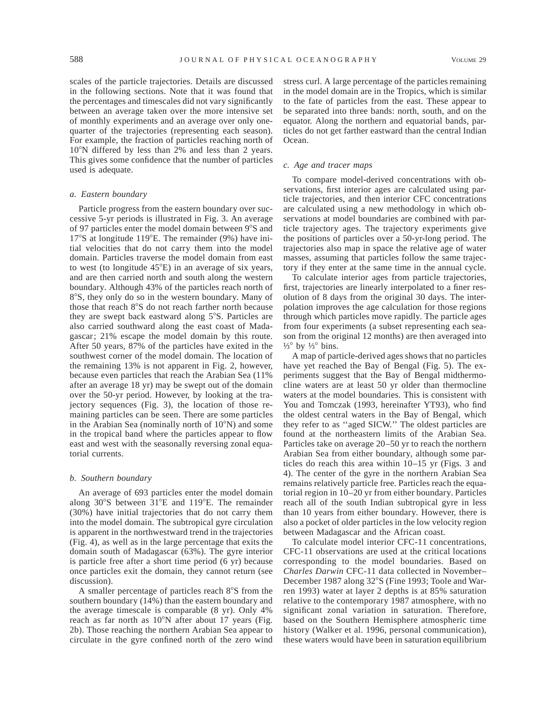scales of the particle trajectories. Details are discussed in the following sections. Note that it was found that the percentages and timescales did not vary significantly between an average taken over the more intensive set of monthly experiments and an average over only onequarter of the trajectories (representing each season). For example, the fraction of particles reaching north of 10°N differed by less than 2% and less than 2 years. This gives some confidence that the number of particles used is adequate.

#### *a. Eastern boundary*

Particle progress from the eastern boundary over successive 5-yr periods is illustrated in Fig. 3. An average of 97 particles enter the model domain between  $9^{\circ}$ S and  $17^{\circ}$ S at longitude 119 $^{\circ}$ E. The remainder (9%) have initial velocities that do not carry them into the model domain. Particles traverse the model domain from east to west (to longitude  $45^{\circ}E$ ) in an average of six years, and are then carried north and south along the western boundary. Although 43% of the particles reach north of 8°S, they only do so in the western boundary. Many of those that reach  $8^{\circ}$ S do not reach farther north because they are swept back eastward along  $5^{\circ}$ S. Particles are also carried southward along the east coast of Madagascar; 21% escape the model domain by this route. After 50 years, 87% of the particles have exited in the southwest corner of the model domain. The location of the remaining 13% is not apparent in Fig. 2, however, because even particles that reach the Arabian Sea (11% after an average 18 yr) may be swept out of the domain over the 50-yr period. However, by looking at the trajectory sequences (Fig. 3), the location of those remaining particles can be seen. There are some particles in the Arabian Sea (nominally north of  $10^{\circ}$ N) and some in the tropical band where the particles appear to flow east and west with the seasonally reversing zonal equatorial currents.

#### *b. Southern boundary*

An average of 693 particles enter the model domain along  $30^{\circ}$ S between  $31^{\circ}$ E and  $119^{\circ}$ E. The remainder (30%) have initial trajectories that do not carry them into the model domain. The subtropical gyre circulation is apparent in the northwestward trend in the trajectories (Fig. 4), as well as in the large percentage that exits the domain south of Madagascar (63%). The gyre interior is particle free after a short time period (6 yr) because once particles exit the domain, they cannot return (see discussion).

A smaller percentage of particles reach  $8^{\circ}$ S from the southern boundary (14%) than the eastern boundary and the average timescale is comparable (8 yr). Only 4% reach as far north as  $10^{\circ}$ N after about 17 years (Fig. 2b). Those reaching the northern Arabian Sea appear to circulate in the gyre confined north of the zero wind

stress curl. A large percentage of the particles remaining in the model domain are in the Tropics, which is similar to the fate of particles from the east. These appear to be separated into three bands: north, south, and on the equator. Along the northern and equatorial bands, particles do not get farther eastward than the central Indian Ocean.

#### *c. Age and tracer maps*

To compare model-derived concentrations with observations, first interior ages are calculated using particle trajectories, and then interior CFC concentrations are calculated using a new methodology in which observations at model boundaries are combined with particle trajectory ages. The trajectory experiments give the positions of particles over a 50-yr-long period. The trajectories also map in space the relative age of water masses, assuming that particles follow the same trajectory if they enter at the same time in the annual cycle.

To calculate interior ages from particle trajectories, first, trajectories are linearly interpolated to a finer resolution of 8 days from the original 30 days. The interpolation improves the age calculation for those regions through which particles move rapidly. The particle ages from four experiments (a subset representing each season from the original 12 months) are then averaged into  $\frac{1}{3}$ ° by  $\frac{1}{3}$ ° bins.

A map of particle-derived ages shows that no particles have yet reached the Bay of Bengal (Fig. 5). The experiments suggest that the Bay of Bengal midthermocline waters are at least 50 yr older than thermocline waters at the model boundaries. This is consistent with You and Tomczak (1993, hereinafter YT93), who find the oldest central waters in the Bay of Bengal, which they refer to as ''aged SICW.'' The oldest particles are found at the northeastern limits of the Arabian Sea. Particles take on average 20–50 yr to reach the northern Arabian Sea from either boundary, although some particles do reach this area within 10–15 yr (Figs. 3 and 4). The center of the gyre in the northern Arabian Sea remains relatively particle free. Particles reach the equatorial region in 10–20 yr from either boundary. Particles reach all of the south Indian subtropical gyre in less than 10 years from either boundary. However, there is also a pocket of older particles in the low velocity region between Madagascar and the African coast.

To calculate model interior CFC-11 concentrations, CFC-11 observations are used at the critical locations corresponding to the model boundaries. Based on *Charles Darwin* CFC-11 data collected in November– December 1987 along 32°S (Fine 1993; Toole and Warren 1993) water at layer 2 depths is at 85% saturation relative to the contemporary 1987 atmosphere, with no significant zonal variation in saturation. Therefore, based on the Southern Hemisphere atmospheric time history (Walker et al. 1996, personal communication), these waters would have been in saturation equilibrium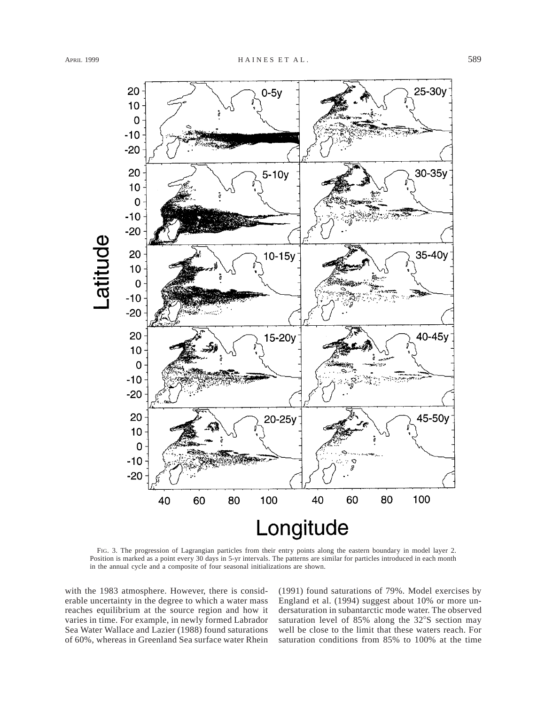

FIG. 3. The progression of Lagrangian particles from their entry points along the eastern boundary in model layer 2. Position is marked as a point every 30 days in 5-yr intervals. The patterns are similar for particles introduced in each month in the annual cycle and a composite of four seasonal initializations are shown.

with the 1983 atmosphere. However, there is considerable uncertainty in the degree to which a water mass reaches equilibrium at the source region and how it varies in time. For example, in newly formed Labrador Sea Water Wallace and Lazier (1988) found saturations of 60%, whereas in Greenland Sea surface water Rhein (1991) found saturations of 79%. Model exercises by England et al. (1994) suggest about 10% or more undersaturation in subantarctic mode water. The observed saturation level of  $85\%$  along the  $32\degree$ S section may well be close to the limit that these waters reach. For saturation conditions from 85% to 100% at the time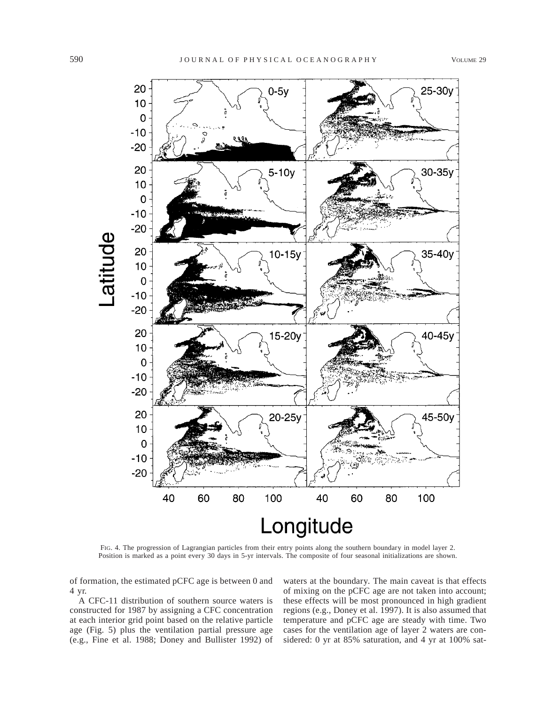

FIG. 4. The progression of Lagrangian particles from their entry points along the southern boundary in model layer 2. Position is marked as a point every 30 days in 5-yr intervals. The composite of four seasonal initializations are shown.

of formation, the estimated pCFC age is between 0 and 4 yr.

A CFC-11 distribution of southern source waters is constructed for 1987 by assigning a CFC concentration at each interior grid point based on the relative particle age (Fig. 5) plus the ventilation partial pressure age (e.g., Fine et al. 1988; Doney and Bullister 1992) of waters at the boundary. The main caveat is that effects of mixing on the pCFC age are not taken into account; these effects will be most pronounced in high gradient regions (e.g., Doney et al. 1997). It is also assumed that temperature and pCFC age are steady with time. Two cases for the ventilation age of layer 2 waters are considered: 0 yr at 85% saturation, and 4 yr at 100% sat-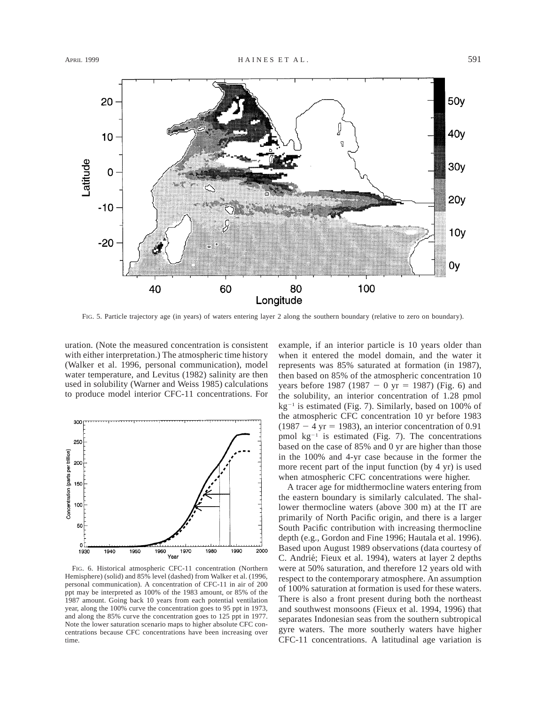

FIG. 5. Particle trajectory age (in years) of waters entering layer 2 along the southern boundary (relative to zero on boundary).

uration. (Note the measured concentration is consistent with either interpretation.) The atmospheric time history (Walker et al. 1996, personal communication), model water temperature, and Levitus (1982) salinity are then used in solubility (Warner and Weiss 1985) calculations to produce model interior CFC-11 concentrations. For



FIG. 6. Historical atmospheric CFC-11 concentration (Northern Hemisphere) (solid) and 85% level (dashed) from Walker et al. (1996, personal communication). A concentration of CFC-11 in air of 200 ppt may be interpreted as 100% of the 1983 amount, or 85% of the 1987 amount. Going back 10 years from each potential ventilation year, along the 100% curve the concentration goes to 95 ppt in 1973, and along the 85% curve the concentration goes to 125 ppt in 1977. Note the lower saturation scenario maps to higher absolute CFC concentrations because CFC concentrations have been increasing over time.

example, if an interior particle is 10 years older than when it entered the model domain, and the water it represents was 85% saturated at formation (in 1987), then based on 85% of the atmospheric concentration 10 years before 1987 (1987 - 0 yr = 1987) (Fig. 6) and the solubility, an interior concentration of 1.28 pmol  $kg^{-1}$  is estimated (Fig. 7). Similarly, based on 100% of the atmospheric CFC concentration 10 yr before 1983  $(1987 - 4 \text{ yr} = 1983)$ , an interior concentration of 0.91 pmol  $kg^{-1}$  is estimated (Fig. 7). The concentrations based on the case of 85% and 0 yr are higher than those in the 100% and 4-yr case because in the former the more recent part of the input function (by 4 yr) is used when atmospheric CFC concentrations were higher.

A tracer age for midthermocline waters entering from the eastern boundary is similarly calculated. The shallower thermocline waters (above 300 m) at the IT are primarily of North Pacific origin, and there is a larger South Pacific contribution with increasing thermocline depth (e.g., Gordon and Fine 1996; Hautala et al. 1996). Based upon August 1989 observations (data courtesy of C. Andrié; Fieux et al. 1994), waters at layer 2 depths were at 50% saturation, and therefore 12 years old with respect to the contemporary atmosphere. An assumption of 100% saturation at formation is used for these waters. There is also a front present during both the northeast and southwest monsoons (Fieux et al. 1994, 1996) that separates Indonesian seas from the southern subtropical gyre waters. The more southerly waters have higher CFC-11 concentrations. A latitudinal age variation is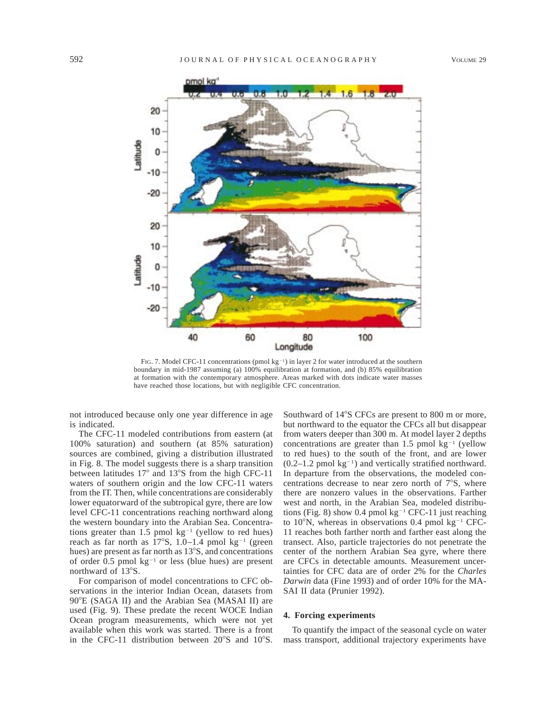

FIG. 7. Model CFC-11 concentrations (pmol  $kg^{-1}$ ) in layer 2 for water introduced at the southern boundary in mid-1987 assuming (a) 100% equilibration at formation, and (b) 85% equilibration at formation with the contemporary atmosphere. Areas marked with dots indicate water masses have reached those locations, but with negligible CFC concentration.

not introduced because only one year difference in age is indicated.

The CFC-11 modeled contributions from eastern (at 100% saturation) and southern (at 85% saturation) sources are combined, giving a distribution illustrated in Fig. 8. The model suggests there is a sharp transition between latitudes 17° and 13°S from the high CFC-11 waters of southern origin and the low CFC-11 waters from the IT. Then, while concentrations are considerably lower equatorward of the subtropical gyre, there are low level CFC-11 concentrations reaching northward along the western boundary into the Arabian Sea. Concentrations greater than 1.5 pmol  $kg^{-1}$  (yellow to red hues) reach as far north as  $17^{\circ}$ S, 1.0–1.4 pmol kg<sup>-1</sup> (green hues) are present as far north as  $13^{\circ}$ S, and concentrations of order 0.5 pmol  $kg^{-1}$  or less (blue hues) are present northward of 13°S.

For comparison of model concentrations to CFC observations in the interior Indian Ocean, datasets from  $90^{\circ}E$  (SAGA II) and the Arabian Sea (MASAI II) are used (Fig. 9). These predate the recent WOCE Indian Ocean program measurements, which were not yet available when this work was started. There is a front in the CFC-11 distribution between  $20^{\circ}$ S and  $10^{\circ}$ S.

Southward of 14°S CFCs are present to 800 m or more, but northward to the equator the CFCs all but disappear from waters deeper than 300 m. At model layer 2 depths concentrations are greater than 1.5 pmol  $kg^{-1}$  (yellow to red hues) to the south of the front, and are lower  $(0.2-1.2 \text{ pmol kg}^{-1})$  and vertically stratified northward. In departure from the observations, the modeled concentrations decrease to near zero north of  $7^\circ$ S, where there are nonzero values in the observations. Farther west and north, in the Arabian Sea, modeled distributions (Fig. 8) show 0.4 pmol  $kg^{-1}$  CFC-11 just reaching to 10 $\rm N$ , whereas in observations 0.4 pmol kg<sup>-1</sup> CFC-11 reaches both farther north and farther east along the transect. Also, particle trajectories do not penetrate the center of the northern Arabian Sea gyre, where there are CFCs in detectable amounts. Measurement uncertainties for CFC data are of order 2% for the *Charles Darwin* data (Fine 1993) and of order 10% for the MA-SAI II data (Prunier 1992).

### **4. Forcing experiments**

To quantify the impact of the seasonal cycle on water mass transport, additional trajectory experiments have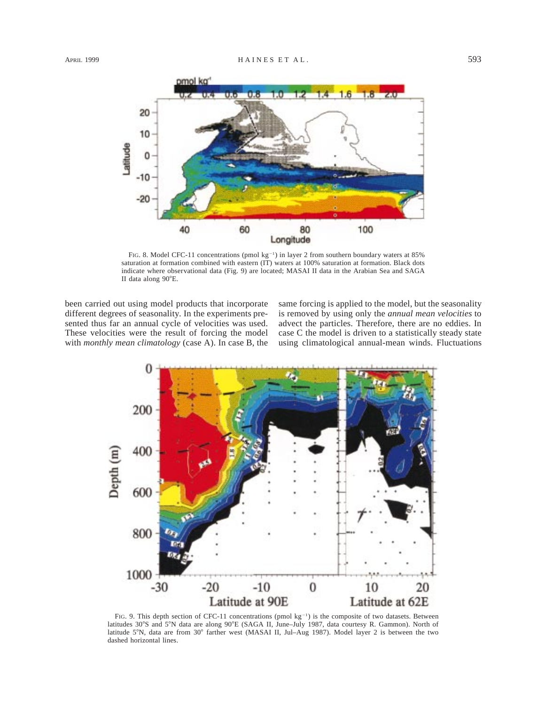

FIG. 8. Model CFC-11 concentrations (pmol kg<sup>-1</sup>) in layer 2 from southern boundary waters at 85% saturation at formation combined with eastern (IT) waters at 100% saturation at formation. Black dots indicate where observational data (Fig. 9) are located; MASAI II data in the Arabian Sea and SAGA II data along 90°E.

been carried out using model products that incorporate different degrees of seasonality. In the experiments presented thus far an annual cycle of velocities was used. These velocities were the result of forcing the model with *monthly mean climatology* (case A). In case B, the same forcing is applied to the model, but the seasonality is removed by using only the *annual mean velocities* to advect the particles. Therefore, there are no eddies. In case C the model is driven to a statistically steady state using climatological annual-mean winds. Fluctuations



FIG. 9. This depth section of CFC-11 concentrations (pmol kg<sup>-1</sup>) is the composite of two datasets. Between latitudes 30°S and 5°N data are along 90°E (SAGA II, June–July 1987, data courtesy R. Gammon). North of latitude 5°N, data are from 30° farther west (MASAI II, Jul-Aug 1987). Model layer 2 is between the two dashed horizontal lines.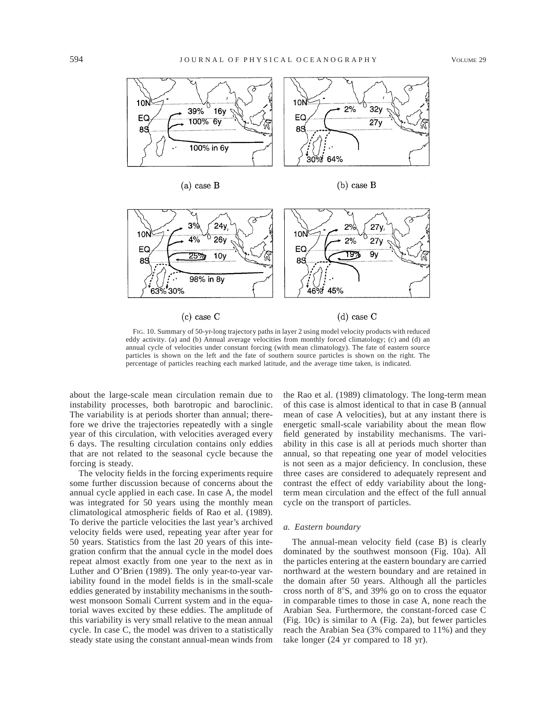



 $(b)$  case B



 $(c)$  case C

 $(d)$  case C

FIG. 10. Summary of 50-yr-long trajectory paths in layer 2 using model velocity products with reduced eddy activity. (a) and (b) Annual average velocities from monthly forced climatology; (c) and (d) an annual cycle of velocities under constant forcing (with mean climatology). The fate of eastern source particles is shown on the left and the fate of southern source particles is shown on the right. The percentage of particles reaching each marked latitude, and the average time taken, is indicated.

about the large-scale mean circulation remain due to instability processes, both barotropic and baroclinic. The variability is at periods shorter than annual; therefore we drive the trajectories repeatedly with a single year of this circulation, with velocities averaged every 6 days. The resulting circulation contains only eddies that are not related to the seasonal cycle because the forcing is steady.

The velocity fields in the forcing experiments require some further discussion because of concerns about the annual cycle applied in each case. In case A, the model was integrated for 50 years using the monthly mean climatological atmospheric fields of Rao et al. (1989). To derive the particle velocities the last year's archived velocity fields were used, repeating year after year for 50 years. Statistics from the last 20 years of this integration confirm that the annual cycle in the model does repeat almost exactly from one year to the next as in Luther and O'Brien (1989). The only year-to-year variability found in the model fields is in the small-scale eddies generated by instability mechanisms in the southwest monsoon Somali Current system and in the equatorial waves excited by these eddies. The amplitude of this variability is very small relative to the mean annual cycle. In case C, the model was driven to a statistically steady state using the constant annual-mean winds from the Rao et al. (1989) climatology. The long-term mean of this case is almost identical to that in case B (annual mean of case A velocities), but at any instant there is energetic small-scale variability about the mean flow field generated by instability mechanisms. The variability in this case is all at periods much shorter than annual, so that repeating one year of model velocities is not seen as a major deficiency. In conclusion, these three cases are considered to adequately represent and contrast the effect of eddy variability about the longterm mean circulation and the effect of the full annual cycle on the transport of particles.

#### *a. Eastern boundary*

The annual-mean velocity field (case B) is clearly dominated by the southwest monsoon (Fig. 10a). All the particles entering at the eastern boundary are carried northward at the western boundary and are retained in the domain after 50 years. Although all the particles cross north of  $8^\circ$ S, and 39% go on to cross the equator in comparable times to those in case A, none reach the Arabian Sea. Furthermore, the constant-forced case C (Fig. 10c) is similar to A (Fig. 2a), but fewer particles reach the Arabian Sea (3% compared to 11%) and they take longer (24 yr compared to 18 yr).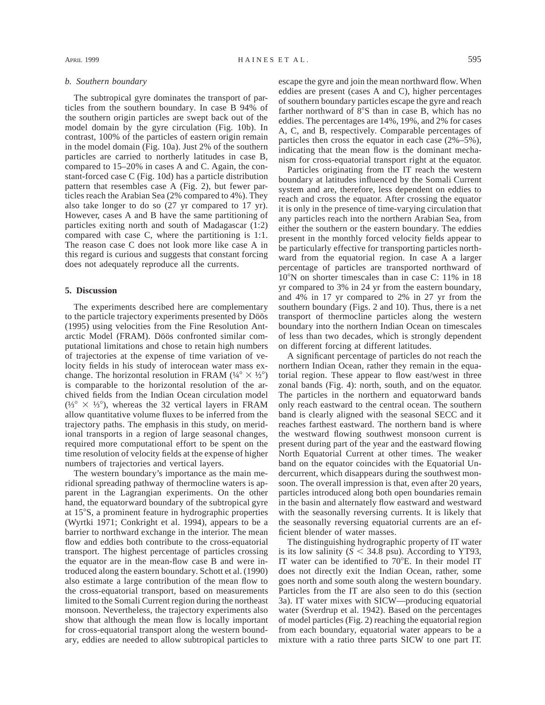The subtropical gyre dominates the transport of particles from the southern boundary. In case B 94% of the southern origin particles are swept back out of the model domain by the gyre circulation (Fig. 10b). In contrast, 100% of the particles of eastern origin remain in the model domain (Fig. 10a). Just 2% of the southern particles are carried to northerly latitudes in case B, compared to 15–20% in cases A and C. Again, the constant-forced case C (Fig. 10d) has a particle distribution pattern that resembles case A (Fig. 2), but fewer particles reach the Arabian Sea (2% compared to 4%). They also take longer to do so (27 yr compared to 17 yr). However, cases A and B have the same partitioning of particles exiting north and south of Madagascar (1:2) compared with case C, where the partitioning is 1:1. The reason case C does not look more like case A in this regard is curious and suggests that constant forcing does not adequately reproduce all the currents.

#### **5. Discussion**

The experiments described here are complementary to the particle trajectory experiments presented by Döös (1995) using velocities from the Fine Resolution Antarctic Model (FRAM). Döös confronted similar computational limitations and chose to retain high numbers of trajectories at the expense of time variation of velocity fields in his study of interocean water mass exchange. The horizontal resolution in FRAM  $(\frac{1}{4}^\circ \times \frac{1}{2}^\circ)$ is comparable to the horizontal resolution of the archived fields from the Indian Ocean circulation model  $(½° \times ½°)$ , whereas the 32 vertical layers in FRAM allow quantitative volume fluxes to be inferred from the trajectory paths. The emphasis in this study, on meridional transports in a region of large seasonal changes, required more computational effort to be spent on the time resolution of velocity fields at the expense of higher numbers of trajectories and vertical layers.

The western boundary's importance as the main meridional spreading pathway of thermocline waters is apparent in the Lagrangian experiments. On the other hand, the equatorward boundary of the subtropical gyre at 15°S, a prominent feature in hydrographic properties (Wyrtki 1971; Conkright et al. 1994), appears to be a barrier to northward exchange in the interior. The mean flow and eddies both contribute to the cross-equatorial transport. The highest percentage of particles crossing the equator are in the mean-flow case B and were introduced along the eastern boundary. Schott et al. (1990) also estimate a large contribution of the mean flow to the cross-equatorial transport, based on measurements limited to the Somali Current region during the northeast monsoon. Nevertheless, the trajectory experiments also show that although the mean flow is locally important for cross-equatorial transport along the western boundary, eddies are needed to allow subtropical particles to escape the gyre and join the mean northward flow. When eddies are present (cases A and C), higher percentages of southern boundary particles escape the gyre and reach farther northward of  $8^\circ$ S than in case B, which has no eddies. The percentages are 14%, 19%, and 2% for cases A, C, and B, respectively. Comparable percentages of particles then cross the equator in each case (2%–5%), indicating that the mean flow is the dominant mechanism for cross-equatorial transport right at the equator.

Particles originating from the IT reach the western boundary at latitudes influenced by the Somali Current system and are, therefore, less dependent on eddies to reach and cross the equator. After crossing the equator it is only in the presence of time-varying circulation that any particles reach into the northern Arabian Sea, from either the southern or the eastern boundary. The eddies present in the monthly forced velocity fields appear to be particularly effective for transporting particles northward from the equatorial region. In case A a larger percentage of particles are transported northward of 10°N on shorter timescales than in case C: 11% in 18 yr compared to 3% in 24 yr from the eastern boundary, and 4% in 17 yr compared to 2% in 27 yr from the southern boundary (Figs. 2 and 10). Thus, there is a net transport of thermocline particles along the western boundary into the northern Indian Ocean on timescales of less than two decades, which is strongly dependent on different forcing at different latitudes.

A significant percentage of particles do not reach the northern Indian Ocean, rather they remain in the equatorial region. These appear to flow east/west in three zonal bands (Fig. 4): north, south, and on the equator. The particles in the northern and equatorward bands only reach eastward to the central ocean. The southern band is clearly aligned with the seasonal SECC and it reaches farthest eastward. The northern band is where the westward flowing southwest monsoon current is present during part of the year and the eastward flowing North Equatorial Current at other times. The weaker band on the equator coincides with the Equatorial Undercurrent, which disappears during the southwest monsoon. The overall impression is that, even after 20 years, particles introduced along both open boundaries remain in the basin and alternately flow eastward and westward with the seasonally reversing currents. It is likely that the seasonally reversing equatorial currents are an efficient blender of water masses.

The distinguishing hydrographic property of IT water is its low salinity  $(S < 34.8 \text{ psu})$ . According to YT93, IT water can be identified to  $70^{\circ}$ E. In their model IT does not directly exit the Indian Ocean, rather, some goes north and some south along the western boundary. Particles from the IT are also seen to do this (section 3a). IT water mixes with SICW—producing equatorial water (Sverdrup et al. 1942). Based on the percentages of model particles (Fig. 2) reaching the equatorial region from each boundary, equatorial water appears to be a mixture with a ratio three parts SICW to one part IT.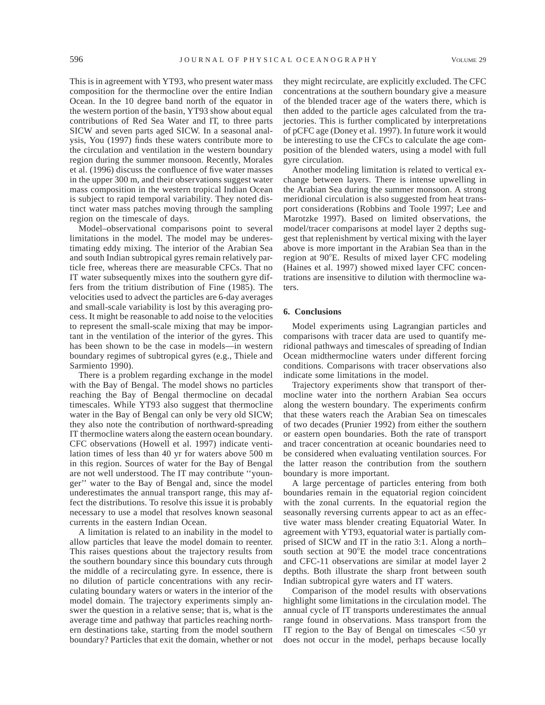This is in agreement with YT93, who present water mass composition for the thermocline over the entire Indian Ocean. In the 10 degree band north of the equator in the western portion of the basin, YT93 show about equal contributions of Red Sea Water and IT, to three parts SICW and seven parts aged SICW. In a seasonal analysis, You (1997) finds these waters contribute more to the circulation and ventilation in the western boundary region during the summer monsoon. Recently, Morales et al. (1996) discuss the confluence of five water masses in the upper 300 m, and their observations suggest water mass composition in the western tropical Indian Ocean is subject to rapid temporal variability. They noted distinct water mass patches moving through the sampling region on the timescale of days.

Model–observational comparisons point to several limitations in the model. The model may be underestimating eddy mixing. The interior of the Arabian Sea and south Indian subtropical gyres remain relatively particle free, whereas there are measurable CFCs. That no IT water subsequently mixes into the southern gyre differs from the tritium distribution of Fine (1985). The velocities used to advect the particles are 6-day averages and small-scale variability is lost by this averaging process. It might be reasonable to add noise to the velocities to represent the small-scale mixing that may be important in the ventilation of the interior of the gyres. This has been shown to be the case in models—in western boundary regimes of subtropical gyres (e.g., Thiele and Sarmiento 1990).

There is a problem regarding exchange in the model with the Bay of Bengal. The model shows no particles reaching the Bay of Bengal thermocline on decadal timescales. While YT93 also suggest that thermocline water in the Bay of Bengal can only be very old SICW; they also note the contribution of northward-spreading IT thermocline waters along the eastern ocean boundary. CFC observations (Howell et al. 1997) indicate ventilation times of less than 40 yr for waters above 500 m in this region. Sources of water for the Bay of Bengal are not well understood. The IT may contribute ''younger'' water to the Bay of Bengal and, since the model underestimates the annual transport range, this may affect the distributions. To resolve this issue it is probably necessary to use a model that resolves known seasonal currents in the eastern Indian Ocean.

A limitation is related to an inability in the model to allow particles that leave the model domain to reenter. This raises questions about the trajectory results from the southern boundary since this boundary cuts through the middle of a recirculating gyre. In essence, there is no dilution of particle concentrations with any recirculating boundary waters or waters in the interior of the model domain. The trajectory experiments simply answer the question in a relative sense; that is, what is the average time and pathway that particles reaching northern destinations take, starting from the model southern boundary? Particles that exit the domain, whether or not

they might recirculate, are explicitly excluded. The CFC concentrations at the southern boundary give a measure of the blended tracer age of the waters there, which is then added to the particle ages calculated from the trajectories. This is further complicated by interpretations of pCFC age (Doney et al. 1997). In future work it would be interesting to use the CFCs to calculate the age composition of the blended waters, using a model with full gyre circulation.

Another modeling limitation is related to vertical exchange between layers. There is intense upwelling in the Arabian Sea during the summer monsoon. A strong meridional circulation is also suggested from heat transport considerations (Robbins and Toole 1997; Lee and Marotzke 1997). Based on limited observations, the model/tracer comparisons at model layer 2 depths suggest that replenishment by vertical mixing with the layer above is more important in the Arabian Sea than in the region at 90°E. Results of mixed layer CFC modeling (Haines et al. 1997) showed mixed layer CFC concentrations are insensitive to dilution with thermocline waters.

#### **6. Conclusions**

Model experiments using Lagrangian particles and comparisons with tracer data are used to quantify meridional pathways and timescales of spreading of Indian Ocean midthermocline waters under different forcing conditions. Comparisons with tracer observations also indicate some limitations in the model.

Trajectory experiments show that transport of thermocline water into the northern Arabian Sea occurs along the western boundary. The experiments confirm that these waters reach the Arabian Sea on timescales of two decades (Prunier 1992) from either the southern or eastern open boundaries. Both the rate of transport and tracer concentration at oceanic boundaries need to be considered when evaluating ventilation sources. For the latter reason the contribution from the southern boundary is more important.

A large percentage of particles entering from both boundaries remain in the equatorial region coincident with the zonal currents. In the equatorial region the seasonally reversing currents appear to act as an effective water mass blender creating Equatorial Water. In agreement with YT93, equatorial water is partially comprised of SICW and IT in the ratio 3:1. Along a north– south section at 90°E the model trace concentrations and CFC-11 observations are similar at model layer 2 depths. Both illustrate the sharp front between south Indian subtropical gyre waters and IT waters.

Comparison of the model results with observations highlight some limitations in the circulation model. The annual cycle of IT transports underestimates the annual range found in observations. Mass transport from the IT region to the Bay of Bengal on timescales  $\leq 50$  yr does not occur in the model, perhaps because locally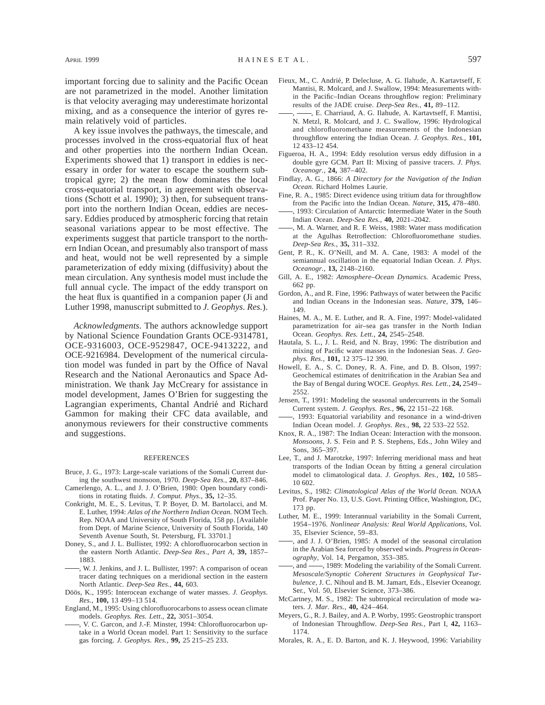important forcing due to salinity and the Pacific Ocean are not parametrized in the model. Another limitation is that velocity averaging may underestimate horizontal mixing, and as a consequence the interior of gyres remain relatively void of particles.

A key issue involves the pathways, the timescale, and processes involved in the cross-equatorial flux of heat and other properties into the northern Indian Ocean. Experiments showed that 1) transport in eddies is necessary in order for water to escape the southern subtropical gyre; 2) the mean flow dominates the local cross-equatorial transport, in agreement with observations (Schott et al. 1990); 3) then, for subsequent transport into the northern Indian Ocean, eddies are necessary. Eddies produced by atmospheric forcing that retain seasonal variations appear to be most effective. The experiments suggest that particle transport to the northern Indian Ocean, and presumably also transport of mass and heat, would not be well represented by a simple parameterization of eddy mixing (diffusivity) about the mean circulation. Any synthesis model must include the full annual cycle. The impact of the eddy transport on the heat flux is quantified in a companion paper (Ji and Luther 1998, manuscript submitted to *J. Geophys. Res.*).

*Acknowledgments.* The authors acknowledge support by National Science Foundation Grants OCE-9314781, OCE-9316003, OCE-9529847, OCE-9413222, and OCE-9216984. Development of the numerical circulation model was funded in part by the Office of Naval Research and the National Aeronautics and Space Administration. We thank Jay McCreary for assistance in model development, James O'Brien for suggesting the Lagrangian experiments, Chantal Andrié and Richard Gammon for making their CFC data available, and anonymous reviewers for their constructive comments and suggestions.

#### REFERENCES

- Bruce, J. G., 1973: Large-scale variations of the Somali Current during the southwest monsoon, 1970. *Deep-Sea Res.,* **20,** 837–846.
- Camerlengo, A. L., and J. J. O'Brien, 1980: Open boundary conditions in rotating fluids. *J. Comput. Phys.,* **35,** 12–35.
- Conkright, M. E., S. Levitus, T. P. Boyer, D. M. Bartolacci, and M. E. Luther, 1994: *Atlas of the Northern Indian Ocean.* NOM Tech. Rep. NOAA and University of South Florida, 158 pp. [Available from Dept. of Marine Science, University of South Florida, 140 Seventh Avenue South, St. Petersburg, FL 33701.]
- Doney, S., and J. L. Bullister, 1992: A chlorofluorocarbon section in the eastern North Atlantic. *Deep-Sea Res., Part A,* **39,** 1857– 1883.
- , W. J. Jenkins, and J. L. Bullister, 1997: A comparison of ocean tracer dating techniques on a meridional section in the eastern North Atlantic. *Deep-Sea Res.,* **44,** 603.
- Döös, K., 1995: Interocean exchange of water masses. *J. Geophys. Res.,* **100,** 13 499–13 514.
- England, M., 1995: Using chlorofluorocarbons to assess ocean climate models. *Geophys. Res. Lett.,* **22,** 3051–3054.
- , V. C. Garcon, and J.-F. Minster, 1994: Chlorofluorocarbon uptake in a World Ocean model. Part 1: Sensitivity to the surface gas forcing. *J. Geophys. Res.,* **99,** 25 215–25 233.
- Fieux, M., C. Andrié, P. Delecluse, A. G. Ilahude, A. Kartavtseff, F. Mantisi, R. Molcard, and J. Swallow, 1994: Measurements within the Pacific–Indian Oceans throughflow region: Preliminary results of the JADE cruise. *Deep-Sea Res.,* **41,** 89–112.
- -, E. Charriaud, A. G. Ilahude, A. Kartavtseff, F. Mantisi, N. Metzl, R. Molcard, and J. C. Swallow, 1996: Hydrological and chlorofluoromethane measurements of the Indonesian throughflow entering the Indian Ocean. *J. Geophys. Res.,* **101,** 12 433–12 454.
- Figueroa, H. A., 1994: Eddy resolution versus eddy diffusion in a double gyre GCM. Part II: Mixing of passive tracers. *J. Phys. Oceanogr.,* **24,** 387–402.
- Findlay, A. G., 1866: *A Directory for the Navigation of the Indian Ocean.* Richard Holmes Laurie.
- Fine, R. A., 1985: Direct evidence using tritium data for throughflow from the Pacific into the Indian Ocean. *Nature,* **315,** 478–480.
- , 1993: Circulation of Antarctic Intermediate Water in the South Indian Ocean. *Deep-Sea Res.,* **40,** 2021–2042.
- , M. A. Warner, and R. F. Weiss, 1988: Water mass modification at the Agulhas Retroflection: Chlorofluoromethane studies. *Deep-Sea Res.,* **35,** 311–332.
- Gent, P. R., K. O'Neill, and M. A. Cane, 1983: A model of the semiannual oscillation in the equatorial Indian Ocean. *J. Phys. Oceanogr.,* **13,** 2148–2160.
- Gill, A. E., 1982: *Atmosphere–Ocean Dynamics.* Academic Press, 662 pp.
- Gordon, A., and R. Fine, 1996: Pathways of water between the Pacific and Indian Oceans in the Indonesian seas. *Nature,* **379,** 146– 149.
- Haines, M. A., M. E. Luther, and R. A. Fine, 1997: Model-validated parametrization for air–sea gas transfer in the North Indian Ocean. *Geophys. Res. Lett.,* **24,** 2545–2548.
- Hautala, S. L., J. L. Reid, and N. Bray, 1996: The distribution and mixing of Pacific water masses in the Indonesian Seas. *J. Geophys. Res.,* **101,** 12 375–12 390.
- Howell, E. A., S. C. Doney, R. A. Fine, and D. B. Olson, 1997: Geochemical estimates of denitrification in the Arabian Sea and the Bay of Bengal during WOCE. *Geophys. Res. Lett.,* **24,** 2549– 2552.
- Jensen, T., 1991: Modeling the seasonal undercurrents in the Somali Current system. *J. Geophys. Res.,* **96,** 22 151–22 168.
- , 1993: Equatorial variability and resonance in a wind-driven Indian Ocean model. *J. Geophys. Res.,* **98,** 22 533–22 552.
- Knox, R. A., 1987: The Indian Ocean: Interaction with the monsoon. *Monsoons,* J. S. Fein and P. S. Stephens, Eds., John Wiley and Sons, 365–397.
- Lee, T., and J. Marotzke, 1997: Inferring meridional mass and heat transports of the Indian Ocean by fitting a general circulation model to climatological data. *J. Geophys. Res.,* **102,** 10 585– 10 602.
- Levitus, S., 1982: *Climatological Atlas of the World 0cean.* NOAA Prof. Paper No. 13, U.S. Govt. Printing Office, Washington, DC, 173 pp.
- Luther, M. E., 1999: Interannual variability in the Somali Current, 1954–1976. *Nonlinear Analysis: Real World Applications,* Vol. 35, Elsevier Science, 59–83.
- , and J. J. O'Brien, 1985: A model of the seasonal circulation in the Arabian Sea forced by observed winds. *Progress in Oceanography,* Vol. 14, Pergamon, 353–385.
- , and  $\frac{1}{1989}$ : Modeling the variability of the Somali Current. *Mesoscale/Synoptic Coherent Structures in Geophysical Turbulence,* J. C. Nihoul and B. M. Jamart, Eds., Elsevier Oceanogr. Ser., Vol. 50, Elsevier Science, 373–386.
- McCartney, M. S., 1982: The subtropical recirculation of mode waters. *J. Mar. Res.,* **40,** 424–464.
- Meyers, G., R. J. Bailey, and A. P. Worby, 1995: Geostrophic transport of Indonesian Throughflow. *Deep-Sea Res.,* Part I, **42,** 1163– 1174.
- Morales, R. A., E. D. Barton, and K. J. Heywood, 1996: Variability